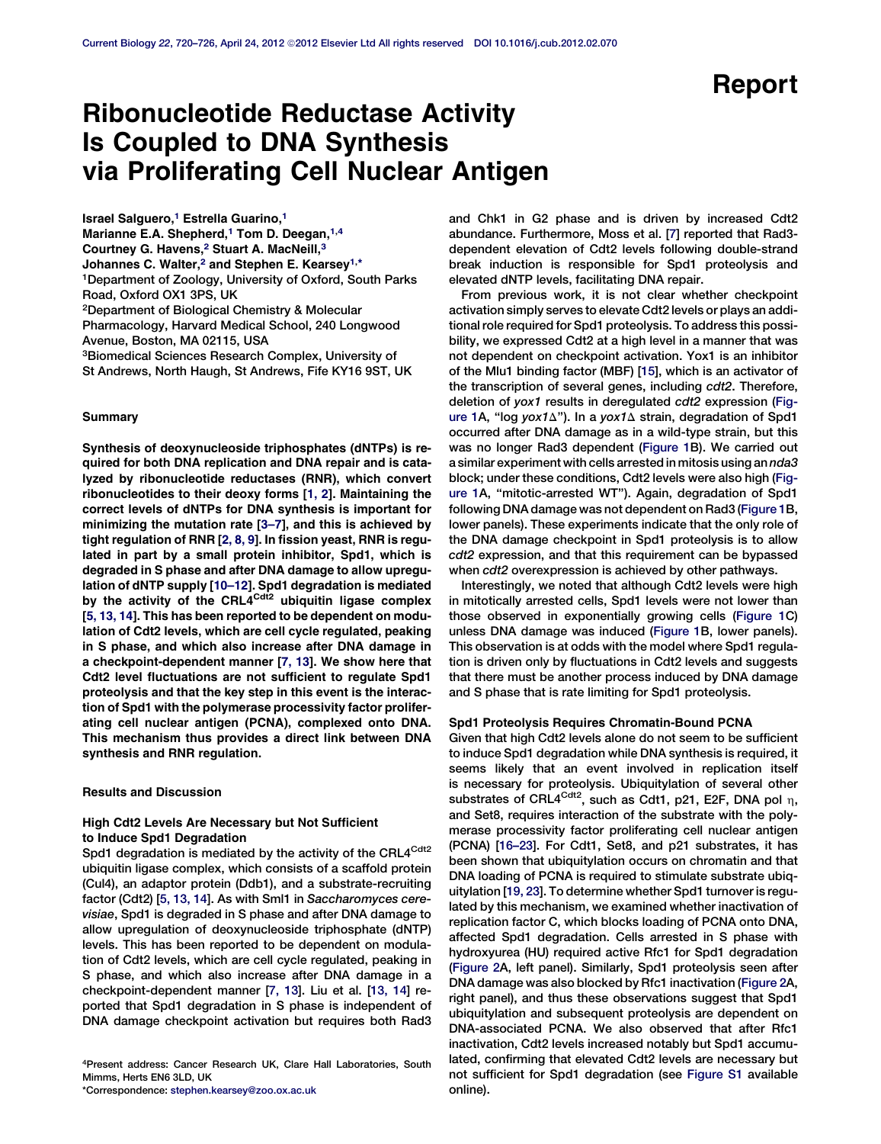# Ribonucleotide Reductase Activity Is Coupled to DNA Synthesis via Proliferating Cell Nuclear Antigen

Israel Salguero,<sup>1</sup> Estrella Guarino,<sup>1</sup> Marianne E.A. Shepherd,<sup>1</sup> Tom D. Deegan,<sup>1,4</sup> Courtney G. Havens,<sup>2</sup> Stuart A. MacNeill,<sup>3</sup> Johannes C. Walter,<sup>2</sup> and Stephen E. Kearsey<sup>1,\*</sup> 1Department of Zoology, University of Oxford, South Parks Road, Oxford OX1 3PS, UK 2Department of Biological Chemistry & Molecular Pharmacology, Harvard Medical School, 240 Longwood Avenue, Boston, MA 02115, USA 3Biomedical Sciences Research Complex, University of St Andrews, North Haugh, St Andrews, Fife KY16 9ST, UK

#### Summary

Synthesis of deoxynucleoside triphosphates (dNTPs) is required for both DNA replication and DNA repair and is catalyzed by ribonucleotide reductases (RNR), which convert ribonucleotides to their deoxy forms [\[1, 2\]](#page-5-0). Maintaining the correct levels of dNTPs for DNA synthesis is important for minimizing the mutation rate [[3–7\]](#page-5-0), and this is achieved by tight regulation of RNR [\[2, 8, 9](#page-5-0)]. In fission yeast, RNR is regulated in part by a small protein inhibitor, Spd1, which is degraded in S phase and after DNA damage to allow upregulation of dNTP supply [\[10–12\]](#page-5-0). Spd1 degradation is mediated by the activity of the CRL4<sup>Cdt2</sup> ubiquitin ligase complex [\[5, 13, 14\]](#page-5-0). This has been reported to be dependent on modulation of Cdt2 levels, which are cell cycle regulated, peaking in S phase, and which also increase after DNA damage in a checkpoint-dependent manner [[7, 13\]](#page-5-0). We show here that Cdt2 level fluctuations are not sufficient to regulate Spd1 proteolysis and that the key step in this event is the interaction of Spd1 with the polymerase processivity factor proliferating cell nuclear antigen (PCNA), complexed onto DNA. This mechanism thus provides a direct link between DNA synthesis and RNR regulation.

## Results and Discussion

## High Cdt2 Levels Are Necessary but Not Sufficient to Induce Spd1 Degradation

Spd1 degradation is mediated by the activity of the CRL4<sup>Cdt2</sup> ubiquitin ligase complex, which consists of a scaffold protein (Cul4), an adaptor protein (Ddb1), and a substrate-recruiting factor (Cdt2) [[5, 13, 14\]](#page-5-0). As with Sml1 in Saccharomyces cerevisiae, Spd1 is degraded in S phase and after DNA damage to allow upregulation of deoxynucleoside triphosphate (dNTP) levels. This has been reported to be dependent on modulation of Cdt2 levels, which are cell cycle regulated, peaking in S phase, and which also increase after DNA damage in a checkpoint-dependent manner [\[7, 13](#page-5-0)]. Liu et al. [[13, 14\]](#page-5-0) reported that Spd1 degradation in S phase is independent of DNA damage checkpoint activation but requires both Rad3

4Present address: Cancer Research UK, Clare Hall Laboratories, South Mimms, Herts EN6 3LD, UK

\*Correspondence: [stephen.kearsey@zoo.ox.ac.uk](mailto:stephen.kearsey@zoo.ox.ac.uk)

and Chk1 in G2 phase and is driven by increased Cdt2 abundance. Furthermore, Moss et al. [[7](#page-5-0)] reported that Rad3 dependent elevation of Cdt2 levels following double-strand break induction is responsible for Spd1 proteolysis and elevated dNTP levels, facilitating DNA repair.

From previous work, it is not clear whether checkpoint activation simply serves to elevate Cdt2 levels or plays an additional role required for Spd1 proteolysis. To address this possibility, we expressed Cdt2 at a high level in a manner that was not dependent on checkpoint activation. Yox1 is an inhibitor of the Mlu1 binding factor (MBF) [\[15\]](#page-5-0), which is an activator of the transcription of several genes, including cdt2. Therefore, deletion of yox1 results in deregulated cdt2 expression [\(Fig](#page-1-0)[ure 1A](#page-1-0), "log yox1 $\Delta$ "). In a yox1 $\Delta$  strain, degradation of Spd1 occurred after DNA damage as in a wild-type strain, but this was no longer Rad3 dependent [\(Figure 1B](#page-1-0)). We carried out a similar experiment with cells arrested in mitosis using an nda3 block; under these conditions, Cdt2 levels were also high [\(Fig](#page-1-0)[ure 1](#page-1-0)A, ''mitotic-arrested WT''). Again, degradation of Spd1 following DNA damage was not dependent on Rad3 [\(Figure 1](#page-1-0)B, lower panels). These experiments indicate that the only role of the DNA damage checkpoint in Spd1 proteolysis is to allow cdt2 expression, and that this requirement can be bypassed when cdt2 overexpression is achieved by other pathways.

Interestingly, we noted that although Cdt2 levels were high in mitotically arrested cells, Spd1 levels were not lower than those observed in exponentially growing cells [\(Figure 1](#page-1-0)C) unless DNA damage was induced [\(Figure 1B](#page-1-0), lower panels). This observation is at odds with the model where Spd1 regulation is driven only by fluctuations in Cdt2 levels and suggests that there must be another process induced by DNA damage and S phase that is rate limiting for Spd1 proteolysis.

### Spd1 Proteolysis Requires Chromatin-Bound PCNA

Given that high Cdt2 levels alone do not seem to be sufficient to induce Spd1 degradation while DNA synthesis is required, it seems likely that an event involved in replication itself is necessary for proteolysis. Ubiquitylation of several other substrates of CRL4<sup>Cdt2</sup>, such as Cdt1, p21, E2F, DNA pol  $\eta$ , and Set8, requires interaction of the substrate with the polymerase processivity factor proliferating cell nuclear antigen (PCNA) [[16–23\]](#page-5-0). For Cdt1, Set8, and p21 substrates, it has been shown that ubiquitylation occurs on chromatin and that DNA loading of PCNA is required to stimulate substrate ubiquitylation [\[19, 23\]](#page-5-0). To determine whether Spd1 turnover is regulated by this mechanism, we examined whether inactivation of replication factor C, which blocks loading of PCNA onto DNA, affected Spd1 degradation. Cells arrested in S phase with hydroxyurea (HU) required active Rfc1 for Spd1 degradation ([Figure 2](#page-2-0)A, left panel). Similarly, Spd1 proteolysis seen after DNA damage was also blocked by Rfc1 inactivation ([Figure 2A](#page-2-0), right panel), and thus these observations suggest that Spd1 ubiquitylation and subsequent proteolysis are dependent on DNA-associated PCNA. We also observed that after Rfc1 inactivation, Cdt2 levels increased notably but Spd1 accumulated, confirming that elevated Cdt2 levels are necessary but not sufficient for Spd1 degradation (see [Figure S1](#page-5-0) available online).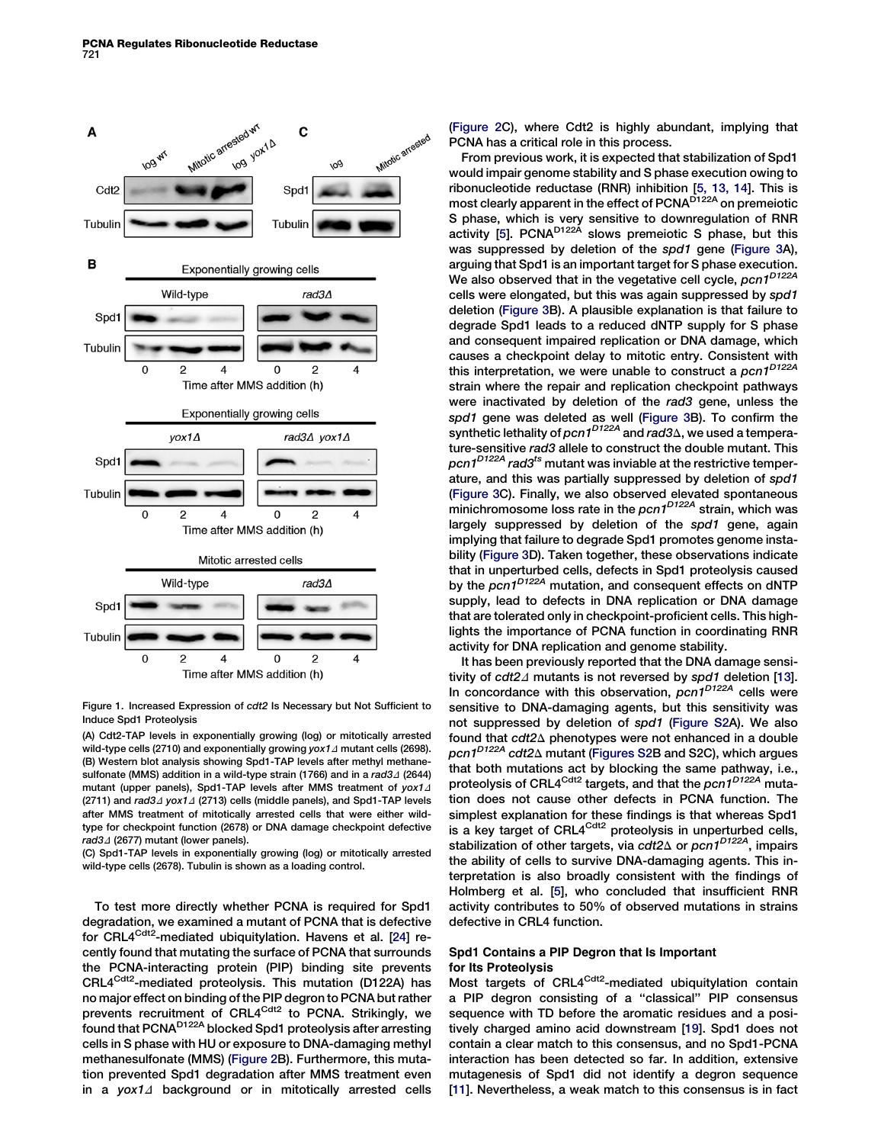<span id="page-1-0"></span>

Figure 1. Increased Expression of cdt2 Is Necessary but Not Sufficient to Induce Spd1 Proteolysis

(A) Cdt2-TAP levels in exponentially growing (log) or mitotically arrested wild-type cells (2710) and exponentially growing yox1 $\Delta$  mutant cells (2698). (B) Western blot analysis showing Spd1-TAP levels after methyl methanesulfonate (MMS) addition in a wild-type strain (1766) and in a  $rad3\Delta$  (2644) mutant (upper panels), Spd1-TAP levels after MMS treatment of  $yox1\Delta$ (2711) and  $rad3\Delta yox1\Delta$  (2713) cells (middle panels), and Spd1-TAP levels after MMS treatment of mitotically arrested cells that were either wildtype for checkpoint function (2678) or DNA damage checkpoint defective  $rad3\Delta$  (2677) mutant (lower panels).

(C) Spd1-TAP levels in exponentially growing (log) or mitotically arrested wild-type cells (2678). Tubulin is shown as a loading control.

To test more directly whether PCNA is required for Spd1 degradation, we examined a mutant of PCNA that is defective for CRL4<sup>Cdt2</sup>-mediated ubiquitylation. Havens et al. [[24](#page-5-0)] recently found that mutating the surface of PCNA that surrounds the PCNA-interacting protein (PIP) binding site prevents CRL4<sup>Cdt2</sup>-mediated proteolysis. This mutation (D122A) has no major effect on binding of the PIP degron to PCNA but rather prevents recruitment of CRL4<sup>Cdt2</sup> to PCNA. Strikingly, we found that PCNA<sup>D122A</sup> blocked Spd1 proteolysis after arresting cells in S phase with HU or exposure to DNA-damaging methyl methanesulfonate (MMS) ([Figure 2](#page-2-0)B). Furthermore, this mutation prevented Spd1 degradation after MMS treatment even in a  $y \circ x 1 \triangleleft b$  ackground or in mitotically arrested cells ([Figure 2C](#page-2-0)), where Cdt2 is highly abundant, implying that PCNA has a critical role in this process.

From previous work, it is expected that stabilization of Spd1 would impair genome stability and S phase execution owing to ribonucleotide reductase (RNR) inhibition [\[5, 13, 14](#page-5-0)]. This is most clearly apparent in the effect of PCNA<sup>D122A</sup> on premeiotic S phase, which is very sensitive to downregulation of RNR activity [\[5\]](#page-5-0). PCNA<sup>D122A</sup> slows premeiotic S phase, but this was suppressed by deletion of the spd1 gene ([Figure 3](#page-3-0)A), arguing that Spd1 is an important target for S phase execution. We also observed that in the vegetative cell cycle, pcn1<sup>D122A</sup> cells were elongated, but this was again suppressed by spd1 deletion [\(Figure 3](#page-3-0)B). A plausible explanation is that failure to degrade Spd1 leads to a reduced dNTP supply for S phase and consequent impaired replication or DNA damage, which causes a checkpoint delay to mitotic entry. Consistent with this interpretation, we were unable to construct a pcn1<sup>D122A</sup> strain where the repair and replication checkpoint pathways were inactivated by deletion of the rad3 gene, unless the spd1 gene was deleted as well ([Figure 3B](#page-3-0)). To confirm the synthetic lethality of pcn1<sup>D122A</sup> and rad3 $\Delta$ , we used a temperature-sensitive rad3 allele to construct the double mutant. This  $pcn1^{D122A}$  rad3<sup>ts</sup> mutant was inviable at the restrictive temperature, and this was partially suppressed by deletion of spd1 ([Figure 3](#page-3-0)C). Finally, we also observed elevated spontaneous minichromosome loss rate in the  $pcn1^{D122A}$  strain, which was largely suppressed by deletion of the spd1 gene, again implying that failure to degrade Spd1 promotes genome instability ([Figure 3](#page-3-0)D). Taken together, these observations indicate that in unperturbed cells, defects in Spd1 proteolysis caused by the pcn1<sup>D122A</sup> mutation, and consequent effects on dNTP supply, lead to defects in DNA replication or DNA damage that are tolerated only in checkpoint-proficient cells. This highlights the importance of PCNA function in coordinating RNR activity for DNA replication and genome stability.

It has been previously reported that the DNA damage sensitivity of  $cdt2\Delta$  mutants is not reversed by spd1 deletion [\[13\]](#page-5-0). In concordance with this observation,  $pcn1^{D122A}$  cells were sensitive to DNA-damaging agents, but this sensitivity was not suppressed by deletion of spd1 ([Figure S2](#page-5-0)A). We also found that  $cdt2\Delta$  phenotypes were not enhanced in a double pcn1<sup>D122A</sup> cdt2 $\Delta$  mutant ([Figures S2B](#page-5-0) and S2C), which argues that both mutations act by blocking the same pathway, i.e., proteolysis of CRL4<sup>Cdt2</sup> targets, and that the pcn1<sup>D122A</sup> mutation does not cause other defects in PCNA function. The simplest explanation for these findings is that whereas Spd1 is a key target of CRL4<sup>Cdt2</sup> proteolysis in unperturbed cells, stabilization of other targets, via cdt2 $\Delta$  or pcn1<sup>D122A</sup>, impairs the ability of cells to survive DNA-damaging agents. This interpretation is also broadly consistent with the findings of Holmberg et al. [\[5](#page-5-0)], who concluded that insufficient RNR activity contributes to 50% of observed mutations in strains defective in CRL4 function.

## Spd1 Contains a PIP Degron that Is Important for Its Proteolysis

Most targets of CRL4<sup>Cdt2</sup>-mediated ubiquitylation contain a PIP degron consisting of a ''classical'' PIP consensus sequence with TD before the aromatic residues and a positively charged amino acid downstream [\[19\]](#page-5-0). Spd1 does not contain a clear match to this consensus, and no Spd1-PCNA interaction has been detected so far. In addition, extensive mutagenesis of Spd1 did not identify a degron sequence [[11](#page-5-0)]. Nevertheless, a weak match to this consensus is in fact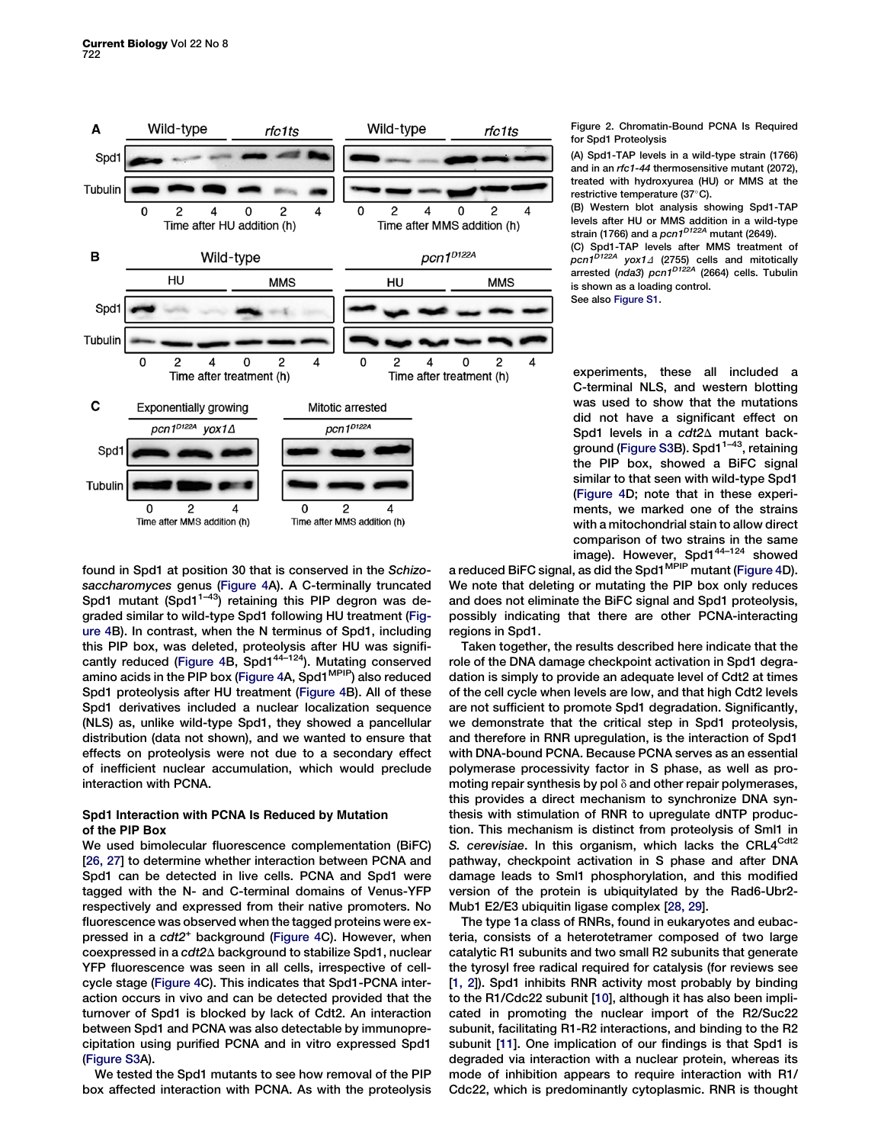<span id="page-2-0"></span>

found in Spd1 at position 30 that is conserved in the Schizosaccharomyces genus [\(Figure 4A](#page-4-0)). A C-terminally truncated Spd1 mutant (Spd1 $1-43$ ) retaining this PIP degron was degraded similar to wild-type Spd1 following HU treatment [\(Fig](#page-4-0)[ure 4B](#page-4-0)). In contrast, when the N terminus of Spd1, including this PIP box, was deleted, proteolysis after HU was signifi-cantly reduced ([Figure 4B](#page-4-0), Spd1<sup>44-124</sup>). Mutating conserved amino acids in the PIP box [\(Figure 4](#page-4-0)A, Spd1<sup>MPIP</sup>) also reduced Spd1 proteolysis after HU treatment ([Figure 4](#page-4-0)B). All of these Spd1 derivatives included a nuclear localization sequence (NLS) as, unlike wild-type Spd1, they showed a pancellular distribution (data not shown), and we wanted to ensure that effects on proteolysis were not due to a secondary effect of inefficient nuclear accumulation, which would preclude interaction with PCNA.

## Spd1 Interaction with PCNA Is Reduced by Mutation of the PIP Box

We used bimolecular fluorescence complementation (BiFC) [[26, 27\]](#page-6-0) to determine whether interaction between PCNA and Spd1 can be detected in live cells. PCNA and Spd1 were tagged with the N- and C-terminal domains of Venus-YFP respectively and expressed from their native promoters. No fluorescence was observed when the tagged proteins were ex-pressed in a cdt2<sup>+</sup> background [\(Figure 4C](#page-4-0)). However, when coexpressed in a cdt2 $\Delta$  background to stabilize Spd1, nuclear YFP fluorescence was seen in all cells, irrespective of cellcycle stage ([Figure 4C](#page-4-0)). This indicates that Spd1-PCNA interaction occurs in vivo and can be detected provided that the turnover of Spd1 is blocked by lack of Cdt2. An interaction between Spd1 and PCNA was also detectable by immunoprecipitation using purified PCNA and in vitro expressed Spd1 ([Figure S3A](#page-5-0)).

We tested the Spd1 mutants to see how removal of the PIP box affected interaction with PCNA. As with the proteolysis Figure 2. Chromatin-Bound PCNA Is Required for Spd1 Proteolysis

(A) Spd1-TAP levels in a wild-type strain (1766) and in an rfc1-44 thermosensitive mutant (2072), treated with hydroxyurea (HU) or MMS at the restrictive temperature (37°C).

(B) Western blot analysis showing Spd1-TAP levels after HU or MMS addition in a wild-type strain (1766) and a  $pcn1^{D122A}$  mutant (2649).

(C) Spd1-TAP levels after MMS treatment of ocn1<sup>D122A</sup> yox1∆ (2755) cells and mitotically .<br>arrested (nda3) pcn1<sup>D122A</sup> (2664) cells. Tubulin is shown as a loading control.

See also [Figure S1](#page-5-0).

experiments, these all included a C-terminal NLS, and western blotting was used to show that the mutations did not have a significant effect on Spd1 levels in a  $cdt2\Delta$  mutant back-ground ([Figure S3](#page-5-0)B). Spd1 $1-43$ , retaining the PIP box, showed a BiFC signal similar to that seen with wild-type Spd1 ([Figure 4D](#page-4-0); note that in these experiments, we marked one of the strains with a mitochondrial stain to allow direct comparison of two strains in the same image). However, Spd1<sup>44-124</sup> showed

a reduced BiFC signal, as did the Spd1 MPIP mutant ([Figure 4D](#page-4-0)). We note that deleting or mutating the PIP box only reduces and does not eliminate the BiFC signal and Spd1 proteolysis, possibly indicating that there are other PCNA-interacting regions in Spd1.

Taken together, the results described here indicate that the role of the DNA damage checkpoint activation in Spd1 degradation is simply to provide an adequate level of Cdt2 at times of the cell cycle when levels are low, and that high Cdt2 levels are not sufficient to promote Spd1 degradation. Significantly, we demonstrate that the critical step in Spd1 proteolysis, and therefore in RNR upregulation, is the interaction of Spd1 with DNA-bound PCNA. Because PCNA serves as an essential polymerase processivity factor in S phase, as well as promoting repair synthesis by pol  $\delta$  and other repair polymerases, this provides a direct mechanism to synchronize DNA synthesis with stimulation of RNR to upregulate dNTP production. This mechanism is distinct from proteolysis of Sml1 in S. cerevisiae. In this organism, which lacks the CRL4<sup>Cdt2</sup> pathway, checkpoint activation in S phase and after DNA damage leads to Sml1 phosphorylation, and this modified version of the protein is ubiquitylated by the Rad6-Ubr2- Mub1 E2/E3 ubiquitin ligase complex [\[28, 29\]](#page-6-0).

The type 1a class of RNRs, found in eukaryotes and eubacteria, consists of a heterotetramer composed of two large catalytic R1 subunits and two small R2 subunits that generate the tyrosyl free radical required for catalysis (for reviews see [[1, 2\]](#page-5-0)). Spd1 inhibits RNR activity most probably by binding to the R1/Cdc22 subunit [[10](#page-5-0)], although it has also been implicated in promoting the nuclear import of the R2/Suc22 subunit, facilitating R1-R2 interactions, and binding to the R2 subunit [\[11\]](#page-5-0). One implication of our findings is that Spd1 is degraded via interaction with a nuclear protein, whereas its mode of inhibition appears to require interaction with R1/ Cdc22, which is predominantly cytoplasmic. RNR is thought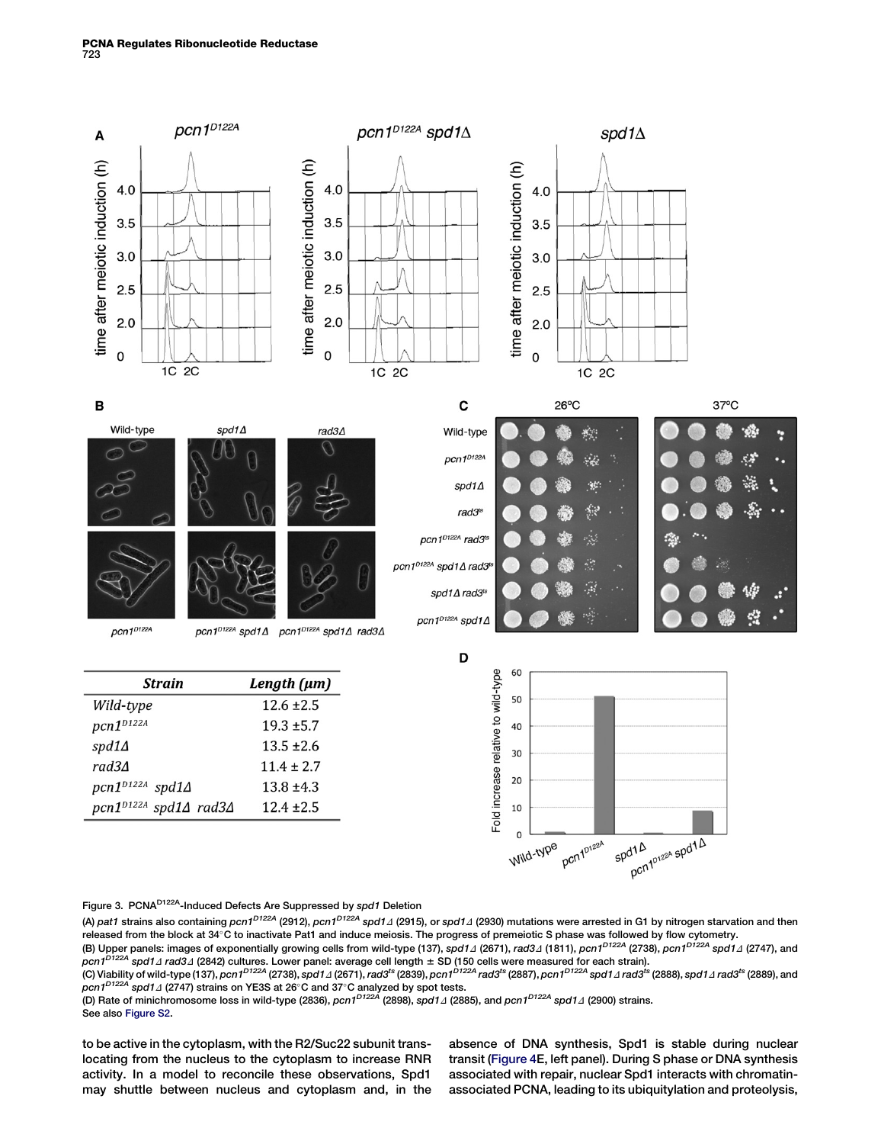<span id="page-3-0"></span>

## Figure 3. PCNA<sup>D122A</sup>-Induced Defects Are Suppressed by spd1 Deletion

(A) pat1 strains also containing pcn1<sup>D122A</sup> (2912), pcn1<sup>D122A</sup> spd1*1* (2915), or spd1<sub>4</sub> (2930) mutations were arrested in G1 by nitrogen starvation and then released from the block at 34°C to inactivate Pat1 and induce meiosis. The progress of premeiotic S phase was followed by flow cytometry. (B) Upper panels: images of exponentially growing cells from wild-type (137), spd1⊿ (2671), *rad3*⊿ (1811), pcn1<sup>D122A</sup> (2738), pcn1<sup>D122A</sup> spd1⊿ (2747), and

 $pcn1^{D122A}$  spd1 $\varDelta$  rad3 $\varDelta$  (2842) cultures. Lower panel: average cell length  $\pm$  SD (150 cells were measured for each strain). (C) Viability of wild-type (137), pcn1<sup>D122A</sup> (2738), spd1⊿ (2671), rad3<sup>ts</sup> (2839), pcn1<sup>D122A</sup> rad3<sup>ts</sup> (2887), pcn1<sup>D122A</sup> spd1⊿ rad3<sup>ts</sup> (2888), spd1⊿ rad3<sup>ts</sup> (2889), and  $pcn1^{D122A}$  spd1 $\varDelta$  (2747) strains on YE3S at 26°C and 37°C analyzed by spot tests.

(D) Rate of minichromosome loss in wild-type (2836), *pcn1<sup>D122A</sup>* (2898), s*pd1⊿* (2885), and *pcn1<sup>D122A</sup> spd1⊿* (2900) strains. See also [Figure S2.](#page-5-0)

to be active in the cytoplasm, with the R2/Suc22 subunit translocating from the nucleus to the cytoplasm to increase RNR activity. In a model to reconcile these observations, Spd1 may shuttle between nucleus and cytoplasm and, in the

absence of DNA synthesis, Spd1 is stable during nuclear transit [\(Figure 4E](#page-4-0), left panel). During S phase or DNA synthesis associated with repair, nuclear Spd1 interacts with chromatinassociated PCNA, leading to its ubiquitylation and proteolysis,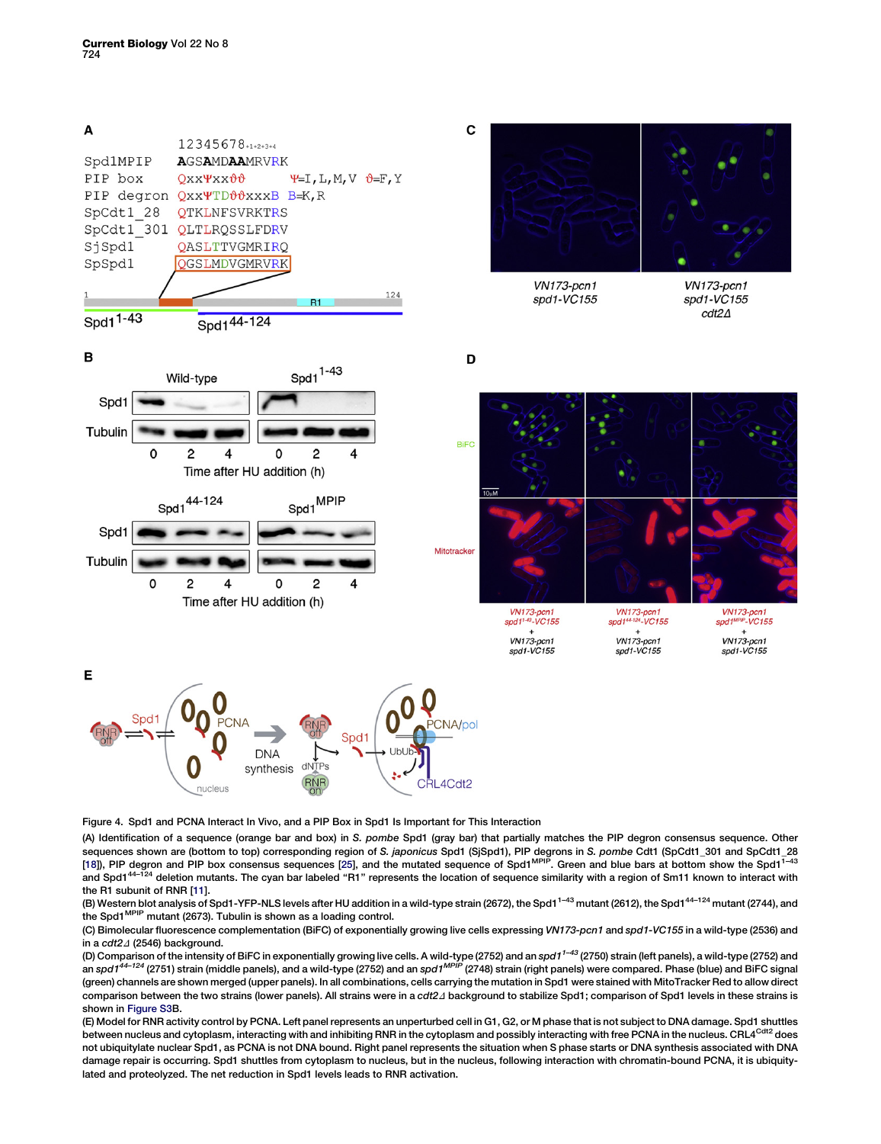<span id="page-4-0"></span>

Figure 4. Spd1 and PCNA Interact In Vivo, and a PIP Box in Spd1 Is Important for This Interaction

(A) Identification of a sequence (orange bar and box) in S. pombe Spd1 (gray bar) that partially matches the PIP degron consensus sequence. Other sequences shown are (bottom to top) corresponding region of S. japonicus Spd1 (SjSpd1), PIP degrons in S. pombe Cdt1 (SpCdt1\_301 and SpCdt1\_28 [\[18](#page-5-0)]), PIP degron and PIP box consensus sequences [[25](#page-5-0)], and the mutated sequence of Spd1MPIP. Green and blue bars at bottom show the Spd11–43 and Spd1<sup>44–124</sup> deletion mutants. The cyan bar labeled "R1" represents the location of sequence similarity with a region of Sm11 known to interact with the R1 subunit of RNR [\[11](#page-5-0)].

 $VN173$ -pcn1

spd1<sup>MPIP</sup>-VC155

 $+$ 

VN173-pcn1

 $s$ pd1- $V$ C155

(B) Western blot analysis of Spd1-YFP-NLS levels after HU addition in a wild-type strain (2672), the Spd1<sup>1-43</sup> mutant (2612), the Spd1<sup>44–124</sup> mutant (2744), and the Spd1<sup>MPIP</sup> mutant (2673). Tubulin is shown as a loading control.

(C) Bimolecular fluorescence complementation (BiFC) of exponentially growing live cells expressing VN173-pcn1 and spd1-VC155 in a wild-type (2536) and in a  $cdt2A$  (2546) background.

(D) Comparison of the intensity of BiFC in exponentially growing live cells. A wild-type (2752) and an spd1<sup>1–43</sup> (2750) strain (left panels), a wild-type (2752) and an spd1<sup>44–124</sup> (2751) strain (middle panels), and a wild-type (2752) and an spd1<sup>MPIP</sup> (2748) strain (right panels) were compared. Phase (blue) and BiFC signal (green) channels are shown merged (upper panels). In all combinations, cells carrying the mutation in Spd1 were stained with MitoTracker Red to allow direct comparison between the two strains (lower panels). All strains were in a cdt2 $\Delta$  background to stabilize Spd1; comparison of Spd1 levels in these strains is shown in [Figure S3B](#page-5-0).

(E) Model for RNR activity control by PCNA. Left panel represents an unperturbed cell in G1, G2, or M phase that is not subject to DNA damage. Spd1 shuttles between nucleus and cytoplasm, interacting with and inhibiting RNR in the cytoplasm and possibly interacting with free PCNA in the nucleus. CRL4<sup>Cdt2</sup> does not ubiquitylate nuclear Spd1, as PCNA is not DNA bound. Right panel represents the situation when S phase starts or DNA synthesis associated with DNA damage repair is occurring. Spd1 shuttles from cytoplasm to nucleus, but in the nucleus, following interaction with chromatin-bound PCNA, it is ubiquitylated and proteolyzed. The net reduction in Spd1 levels leads to RNR activation.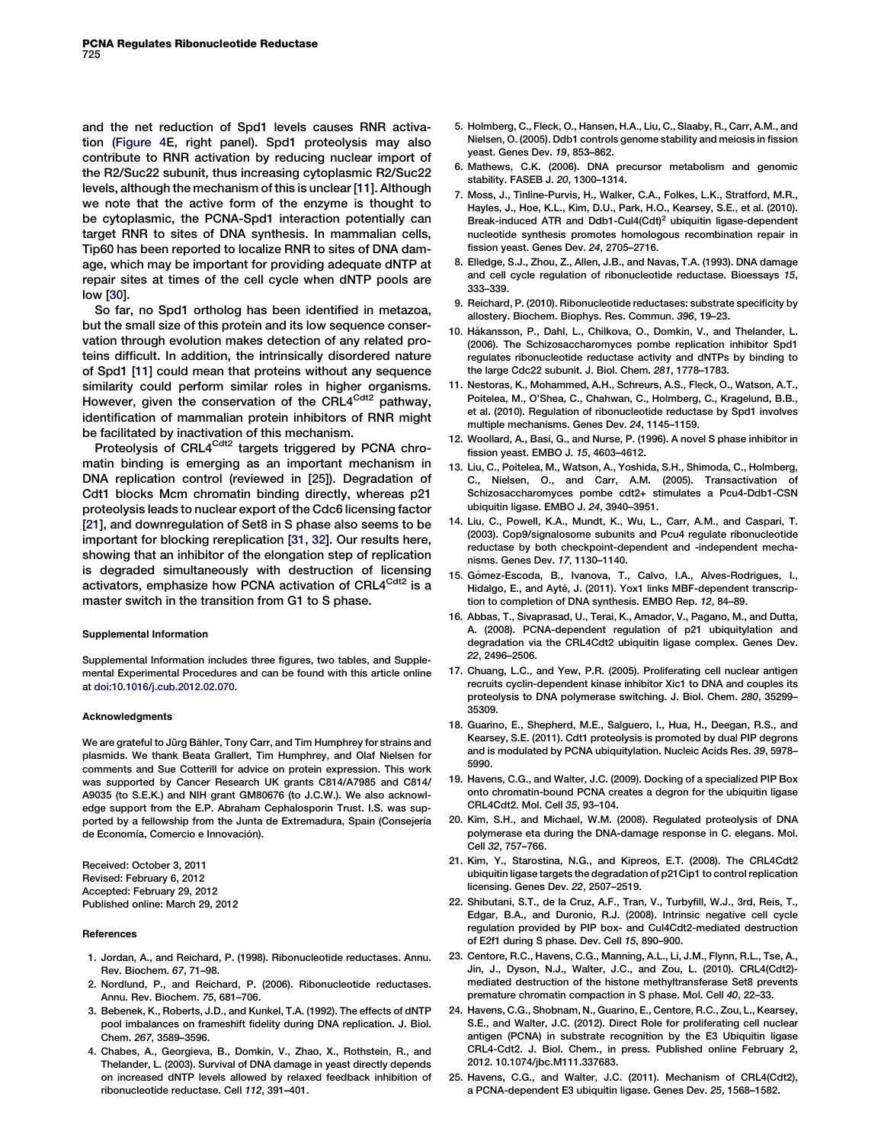<span id="page-5-0"></span>and the net reduction of Spd1 levels causes RNR activation [\(Figure 4](#page-4-0)E, right panel). Spd1 proteolysis may also contribute to RNR activation by reducing nuclear import of the R2/Suc22 subunit, thus increasing cytoplasmic R2/Suc22 levels, although the mechanism of this is unclear [11]. Although we note that the active form of the enzyme is thought to be cytoplasmic, the PCNA-Spd1 interaction potentially can target RNR to sites of DNA synthesis. In mammalian cells, Tip60 has been reported to localize RNR to sites of DNA damage, which may be important for providing adequate dNTP at repair sites at times of the cell cycle when dNTP pools are low [[30](#page-6-0)].

So far, no Spd1 ortholog has been identified in metazoa, but the small size of this protein and its low sequence conservation through evolution makes detection of any related proteins difficult. In addition, the intrinsically disordered nature of Spd1 [11] could mean that proteins without any sequence similarity could perform similar roles in higher organisms. However, given the conservation of the CRL4<sup>Cdt2</sup> pathway, identification of mammalian protein inhibitors of RNR might be facilitated by inactivation of this mechanism.

Proteolysis of CRL4<sup>Cdt2</sup> targets triggered by PCNA chromatin binding is emerging as an important mechanism in DNA replication control (reviewed in [25]). Degradation of Cdt1 blocks Mcm chromatin binding directly, whereas p21 proteolysis leads to nuclear export of the Cdc6 licensing factor [21], and downregulation of Set8 in S phase also seems to be important for blocking rereplication [[31, 32](#page-6-0)]. Our results here, showing that an inhibitor of the elongation step of replication is degraded simultaneously with destruction of licensing activators, emphasize how PCNA activation of CRL4<sup>Cdt2</sup> is a master switch in the transition from G1 to S phase.

#### Supplemental Information

Supplemental Information includes three figures, two tables, and Supplemental Experimental Procedures and can be found with this article online at [doi:10.1016/j.cub.2012.02.070.](http://dx.doi.org/doi:10.1016/j.cub.2012.02.070)

#### Acknowledgments

We are grateful to Jürg Bähler, Tony Carr, and Tim Humphrey for strains and plasmids. We thank Beata Grallert, Tim Humphrey, and Olaf Nielsen for comments and Sue Cotterill for advice on protein expression. This work was supported by Cancer Research UK grants C814/A7985 and C814/ A9035 (to S.E.K.) and NIH grant GM80676 (to J.C.W.). We also acknowledge support from the E.P. Abraham Cephalosporin Trust. I.S. was supported by a fellowship from the Junta de Extremadura, Spain (Consejería de Economía, Comercio e Innovación).

Received: October 3, 2011 Revised: February 6, 2012 Accepted: February 29, 2012 Published online: March 29, 2012

#### **References**

- 1. Jordan, A., and Reichard, P. (1998). Ribonucleotide reductases. Annu. Rev. Biochem. 67, 71–98.
- 2. Nordlund, P., and Reichard, P. (2006). Ribonucleotide reductases. Annu. Rev. Biochem. 75, 681–706.
- 3. Bebenek, K., Roberts, J.D., and Kunkel, T.A. (1992). The effects of dNTP pool imbalances on frameshift fidelity during DNA replication. J. Biol. Chem. 267, 3589–3596.
- 4. Chabes, A., Georgieva, B., Domkin, V., Zhao, X., Rothstein, R., and Thelander, L. (2003). Survival of DNA damage in yeast directly depends on increased dNTP levels allowed by relaxed feedback inhibition of ribonucleotide reductase. Cell 112, 391–401.
- 5. Holmberg, C., Fleck, O., Hansen, H.A., Liu, C., Slaaby, R., Carr, A.M., and Nielsen, O. (2005). Ddb1 controls genome stability and meiosis in fission yeast. Genes Dev. 19, 853–862.
- 6. Mathews, C.K. (2006). DNA precursor metabolism and genomic stability. FASEB J. 20, 1300–1314.
- 7. Moss, J., Tinline-Purvis, H., Walker, C.A., Folkes, L.K., Stratford, M.R., Hayles, J., Hoe, K.L., Kim, D.U., Park, H.O., Kearsey, S.E., et al. (2010). Break-induced ATR and Ddb1-Cul4(Cdt)<sup>2</sup> ubiquitin ligase-dependent nucleotide synthesis promotes homologous recombination repair in fission yeast. Genes Dev. 24, 2705–2716.
- 8. Elledge, S.J., Zhou, Z., Allen, J.B., and Navas, T.A. (1993). DNA damage and cell cycle regulation of ribonucleotide reductase. Bioessays 15, 333–339.
- 9. Reichard, P. (2010). Ribonucleotide reductases: substrate specificity by allostery. Biochem. Biophys. Res. Commun. 396, 19–23.
- 10. Håkansson, P., Dahl, L., Chilkova, O., Domkin, V., and Thelander, L. (2006). The Schizosaccharomyces pombe replication inhibitor Spd1 regulates ribonucleotide reductase activity and dNTPs by binding to the large Cdc22 subunit. J. Biol. Chem. 281, 1778–1783.
- 11. Nestoras, K., Mohammed, A.H., Schreurs, A.S., Fleck, O., Watson, A.T., Poitelea, M., O'Shea, C., Chahwan, C., Holmberg, C., Kragelund, B.B., et al. (2010). Regulation of ribonucleotide reductase by Spd1 involves multiple mechanisms. Genes Dev. 24, 1145–1159.
- 12. Woollard, A., Basi, G., and Nurse, P. (1996). A novel S phase inhibitor in fission yeast. EMBO J. 15, 4603–4612.
- 13. Liu, C., Poitelea, M., Watson, A., Yoshida, S.H., Shimoda, C., Holmberg, C., Nielsen, O., and Carr, A.M. (2005). Transactivation of Schizosaccharomyces pombe cdt2+ stimulates a Pcu4-Ddb1-CSN ubiquitin ligase. EMBO J. 24, 3940–3951.
- 14. Liu, C., Powell, K.A., Mundt, K., Wu, L., Carr, A.M., and Caspari, T. (2003). Cop9/signalosome subunits and Pcu4 regulate ribonucleotide reductase by both checkpoint-dependent and -independent mechanisms. Genes Dev. 17, 1130–1140.
- 15. Gómez-Escoda, B., Ivanova, T., Calvo, I.A., Alves-Rodrigues, I., Hidalgo, E., and Ayté, J. (2011). Yox1 links MBF-dependent transcription to completion of DNA synthesis. EMBO Rep. 12, 84–89.
- 16. Abbas, T., Sivaprasad, U., Terai, K., Amador, V., Pagano, M., and Dutta, A. (2008). PCNA-dependent regulation of p21 ubiquitylation and degradation via the CRL4Cdt2 ubiquitin ligase complex. Genes Dev. 22, 2496–2506.
- 17. Chuang, L.C., and Yew, P.R. (2005). Proliferating cell nuclear antigen recruits cyclin-dependent kinase inhibitor Xic1 to DNA and couples its proteolysis to DNA polymerase switching. J. Biol. Chem. 280, 35299– 35309.
- 18. Guarino, E., Shepherd, M.E., Salguero, I., Hua, H., Deegan, R.S., and Kearsey, S.E. (2011). Cdt1 proteolysis is promoted by dual PIP degrons and is modulated by PCNA ubiquitylation. Nucleic Acids Res. 39, 5978– 5990.
- 19. Havens, C.G., and Walter, J.C. (2009). Docking of a specialized PIP Box onto chromatin-bound PCNA creates a degron for the ubiquitin ligase CRL4Cdt2. Mol. Cell 35, 93–104.
- 20. Kim, S.H., and Michael, W.M. (2008). Regulated proteolysis of DNA polymerase eta during the DNA-damage response in C. elegans. Mol. Cell 32, 757–766.
- 21. Kim, Y., Starostina, N.G., and Kipreos, E.T. (2008). The CRL4Cdt2 ubiquitin ligase targets the degradation of p21Cip1 to control replication licensing. Genes Dev. 22, 2507–2519.
- 22. Shibutani, S.T., de la Cruz, A.F., Tran, V., Turbyfill, W.J., 3rd, Reis, T., Edgar, B.A., and Duronio, R.J. (2008). Intrinsic negative cell cycle regulation provided by PIP box- and Cul4Cdt2-mediated destruction of E2f1 during S phase. Dev. Cell 15, 890–900.
- 23. Centore, R.C., Havens, C.G., Manning, A.L., Li, J.M., Flynn, R.L., Tse, A., Jin, J., Dyson, N.J., Walter, J.C., and Zou, L. (2010). CRL4(Cdt2) mediated destruction of the histone methyltransferase Set8 prevents premature chromatin compaction in S phase. Mol. Cell 40, 22–33.
- 24. Havens, C.G., Shobnam, N., Guarino, E., Centore, R.C., Zou, L., Kearsey, S.E., and Walter, J.C. (2012). Direct Role for proliferating cell nuclear antigen (PCNA) in substrate recognition by the E3 Ubiquitin ligase CRL4-Cdt2. J. Biol. Chem., in press. Published online February 2, 2012. 10.1074/jbc.M111.337683.
- 25. Havens, C.G., and Walter, J.C. (2011). Mechanism of CRL4(Cdt2), a PCNA-dependent E3 ubiquitin ligase. Genes Dev. 25, 1568–1582.